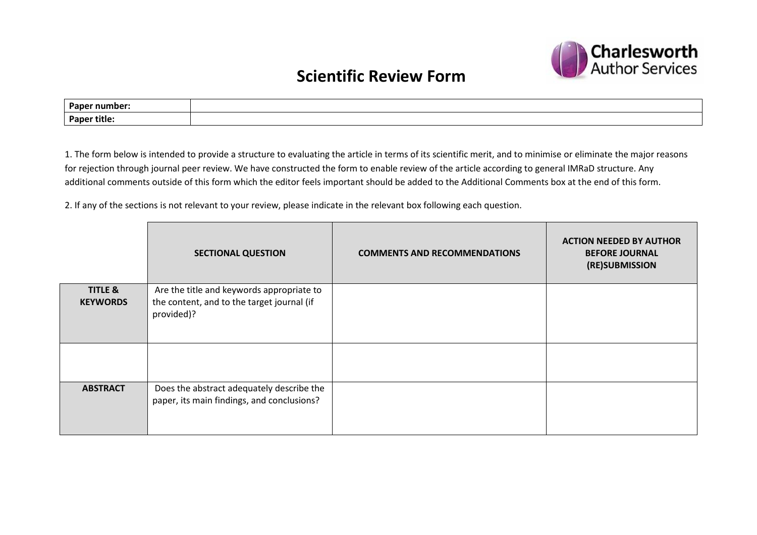

## **Scientific Review Form**

| <b>Paper</b><br>number: ' |  |
|---------------------------|--|
| <b>Paper title:</b>       |  |

1. The form below is intended to provide a structure to evaluating the article in terms of its scientific merit, and to minimise or eliminate the major reasons for rejection through journal peer review. We have constructed the form to enable review of the article according to general IMRaD structure. Any additional comments outside of this form which the editor feels important should be added to the Additional Comments box at the end of this form.

2. If any of the sections is not relevant to your review, please indicate in the relevant box following each question.

|                                       | <b>SECTIONAL QUESTION</b>                                                                             | <b>COMMENTS AND RECOMMENDATIONS</b> | <b>ACTION NEEDED BY AUTHOR</b><br><b>BEFORE JOURNAL</b><br>(RE)SUBMISSION |
|---------------------------------------|-------------------------------------------------------------------------------------------------------|-------------------------------------|---------------------------------------------------------------------------|
| <b>TITLE &amp;</b><br><b>KEYWORDS</b> | Are the title and keywords appropriate to<br>the content, and to the target journal (if<br>provided)? |                                     |                                                                           |
|                                       |                                                                                                       |                                     |                                                                           |
| <b>ABSTRACT</b>                       | Does the abstract adequately describe the<br>paper, its main findings, and conclusions?               |                                     |                                                                           |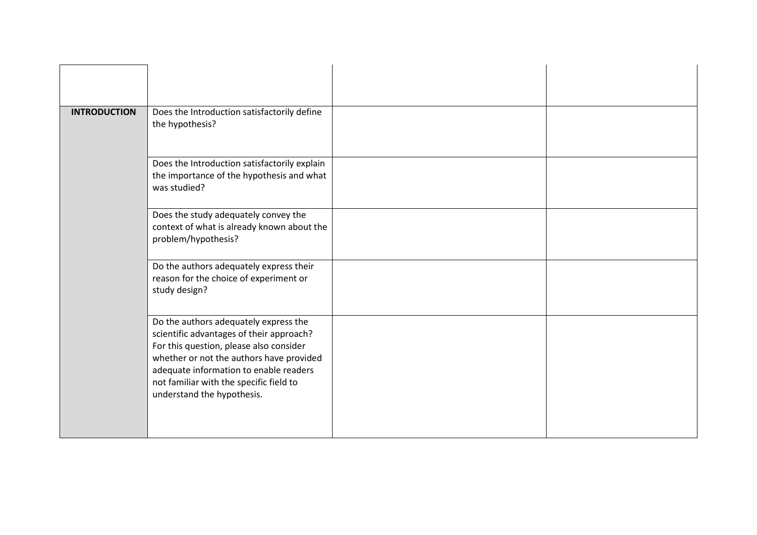| <b>INTRODUCTION</b> | Does the Introduction satisfactorily define<br>the hypothesis?                                                                                                                                                                                                                              |  |
|---------------------|---------------------------------------------------------------------------------------------------------------------------------------------------------------------------------------------------------------------------------------------------------------------------------------------|--|
|                     | Does the Introduction satisfactorily explain<br>the importance of the hypothesis and what<br>was studied?                                                                                                                                                                                   |  |
|                     | Does the study adequately convey the<br>context of what is already known about the<br>problem/hypothesis?                                                                                                                                                                                   |  |
|                     | Do the authors adequately express their<br>reason for the choice of experiment or<br>study design?                                                                                                                                                                                          |  |
|                     | Do the authors adequately express the<br>scientific advantages of their approach?<br>For this question, please also consider<br>whether or not the authors have provided<br>adequate information to enable readers<br>not familiar with the specific field to<br>understand the hypothesis. |  |
|                     |                                                                                                                                                                                                                                                                                             |  |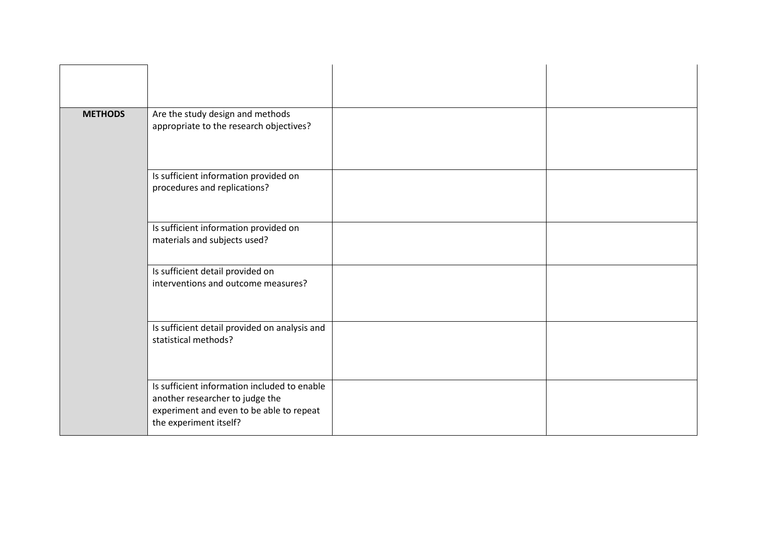| <b>METHODS</b> | Are the study design and methods<br>appropriate to the research objectives?                                                                           |  |
|----------------|-------------------------------------------------------------------------------------------------------------------------------------------------------|--|
|                | Is sufficient information provided on<br>procedures and replications?                                                                                 |  |
|                | Is sufficient information provided on<br>materials and subjects used?<br>Is sufficient detail provided on                                             |  |
|                | interventions and outcome measures?                                                                                                                   |  |
|                | Is sufficient detail provided on analysis and<br>statistical methods?                                                                                 |  |
|                | Is sufficient information included to enable<br>another researcher to judge the<br>experiment and even to be able to repeat<br>the experiment itself? |  |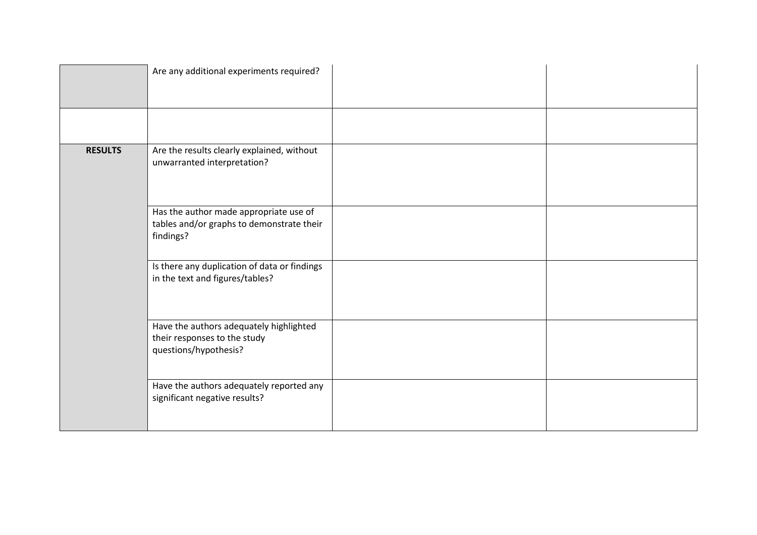|                | Are any additional experiments required?                                                         |
|----------------|--------------------------------------------------------------------------------------------------|
|                |                                                                                                  |
|                |                                                                                                  |
| <b>RESULTS</b> | Are the results clearly explained, without<br>unwarranted interpretation?                        |
|                | Has the author made appropriate use of<br>tables and/or graphs to demonstrate their<br>findings? |
|                | Is there any duplication of data or findings<br>in the text and figures/tables?                  |
|                | Have the authors adequately highlighted<br>their responses to the study<br>questions/hypothesis? |
|                | Have the authors adequately reported any<br>significant negative results?                        |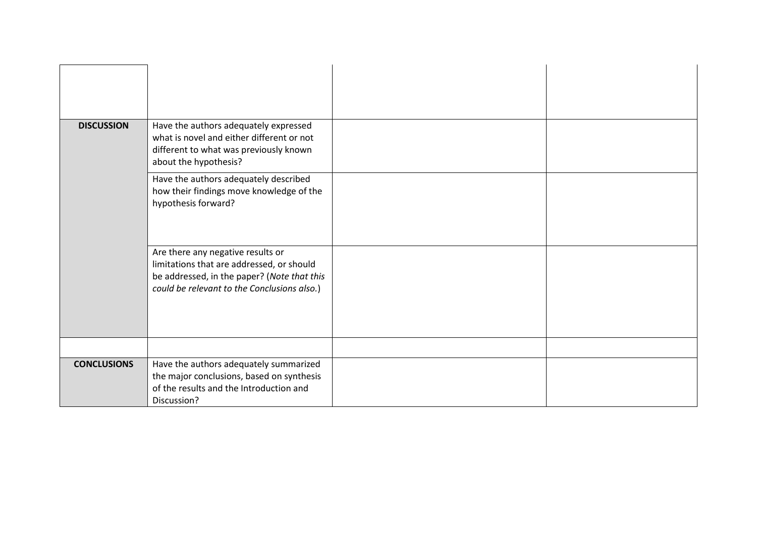| <b>DISCUSSION</b>  | Have the authors adequately expressed<br>what is novel and either different or not                                                                                           |  |
|--------------------|------------------------------------------------------------------------------------------------------------------------------------------------------------------------------|--|
|                    | different to what was previously known<br>about the hypothesis?                                                                                                              |  |
|                    | Have the authors adequately described<br>how their findings move knowledge of the<br>hypothesis forward?                                                                     |  |
|                    | Are there any negative results or<br>limitations that are addressed, or should<br>be addressed, in the paper? (Note that this<br>could be relevant to the Conclusions also.) |  |
|                    |                                                                                                                                                                              |  |
| <b>CONCLUSIONS</b> | Have the authors adequately summarized<br>the major conclusions, based on synthesis<br>of the results and the Introduction and<br>Discussion?                                |  |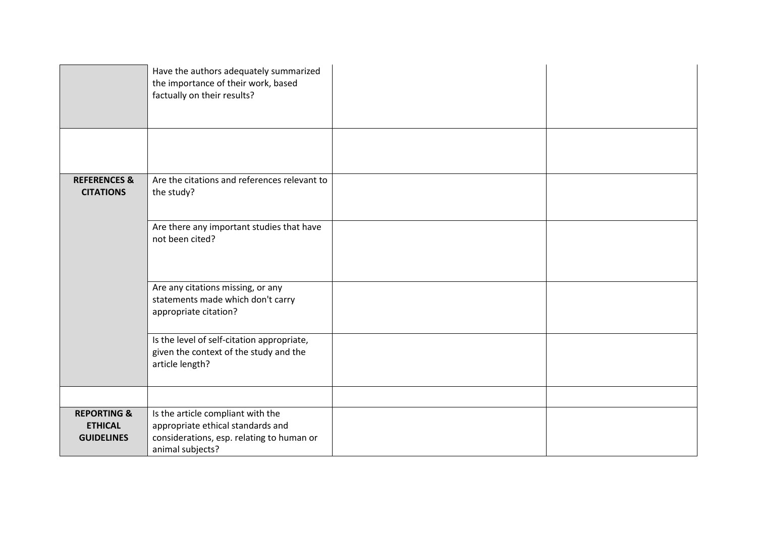|                                                               | Have the authors adequately summarized<br>the importance of their work, based<br>factually on their results?                            |
|---------------------------------------------------------------|-----------------------------------------------------------------------------------------------------------------------------------------|
|                                                               |                                                                                                                                         |
| <b>REFERENCES &amp;</b><br><b>CITATIONS</b>                   | Are the citations and references relevant to<br>the study?                                                                              |
|                                                               | Are there any important studies that have<br>not been cited?                                                                            |
|                                                               | Are any citations missing, or any<br>statements made which don't carry<br>appropriate citation?                                         |
|                                                               | Is the level of self-citation appropriate,<br>given the context of the study and the<br>article length?                                 |
|                                                               |                                                                                                                                         |
| <b>REPORTING &amp;</b><br><b>ETHICAL</b><br><b>GUIDELINES</b> | Is the article compliant with the<br>appropriate ethical standards and<br>considerations, esp. relating to human or<br>animal subjects? |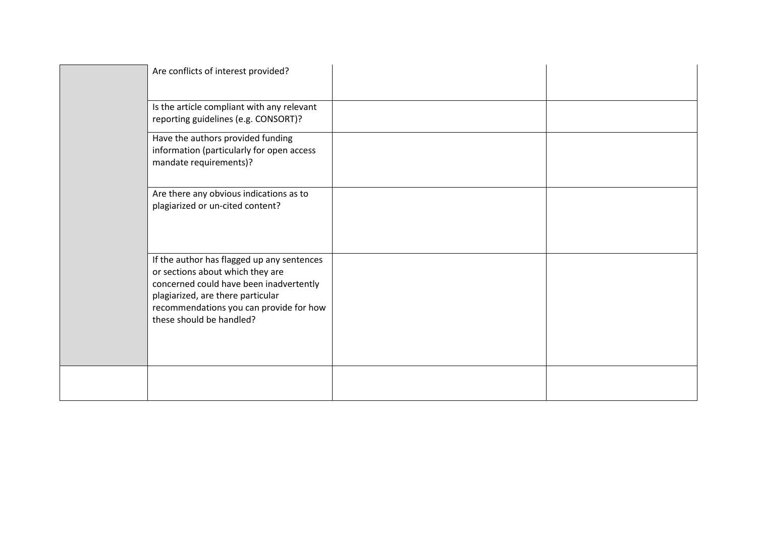| Are conflicts of interest provided?                                                                                                                                                                                                   |  |
|---------------------------------------------------------------------------------------------------------------------------------------------------------------------------------------------------------------------------------------|--|
| Is the article compliant with any relevant<br>reporting guidelines (e.g. CONSORT)?                                                                                                                                                    |  |
| Have the authors provided funding<br>information (particularly for open access<br>mandate requirements)?                                                                                                                              |  |
| Are there any obvious indications as to<br>plagiarized or un-cited content?                                                                                                                                                           |  |
| If the author has flagged up any sentences<br>or sections about which they are<br>concerned could have been inadvertently<br>plagiarized, are there particular<br>recommendations you can provide for how<br>these should be handled? |  |
|                                                                                                                                                                                                                                       |  |